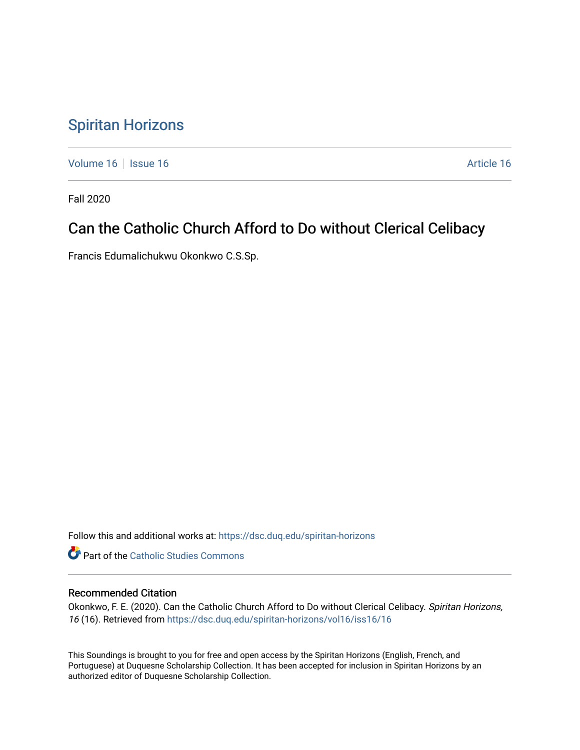# [Spiritan Horizons](https://dsc.duq.edu/spiritan-horizons)

[Volume 16](https://dsc.duq.edu/spiritan-horizons/vol16) | [Issue 16](https://dsc.duq.edu/spiritan-horizons/vol16/iss16) | **Issue 16 Article 16** Article 16

Fall 2020

# Can the Catholic Church Afford to Do without Clerical Celibacy

Francis Edumalichukwu Okonkwo C.S.Sp.

Follow this and additional works at: [https://dsc.duq.edu/spiritan-horizons](https://dsc.duq.edu/spiritan-horizons?utm_source=dsc.duq.edu%2Fspiritan-horizons%2Fvol16%2Fiss16%2F16&utm_medium=PDF&utm_campaign=PDFCoverPages)

**Part of the [Catholic Studies Commons](http://network.bepress.com/hgg/discipline/1294?utm_source=dsc.duq.edu%2Fspiritan-horizons%2Fvol16%2Fiss16%2F16&utm_medium=PDF&utm_campaign=PDFCoverPages)** 

## Recommended Citation

Okonkwo, F. E. (2020). Can the Catholic Church Afford to Do without Clerical Celibacy. Spiritan Horizons, 16 (16). Retrieved from [https://dsc.duq.edu/spiritan-horizons/vol16/iss16/16](https://dsc.duq.edu/spiritan-horizons/vol16/iss16/16?utm_source=dsc.duq.edu%2Fspiritan-horizons%2Fvol16%2Fiss16%2F16&utm_medium=PDF&utm_campaign=PDFCoverPages) 

This Soundings is brought to you for free and open access by the Spiritan Horizons (English, French, and Portuguese) at Duquesne Scholarship Collection. It has been accepted for inclusion in Spiritan Horizons by an authorized editor of Duquesne Scholarship Collection.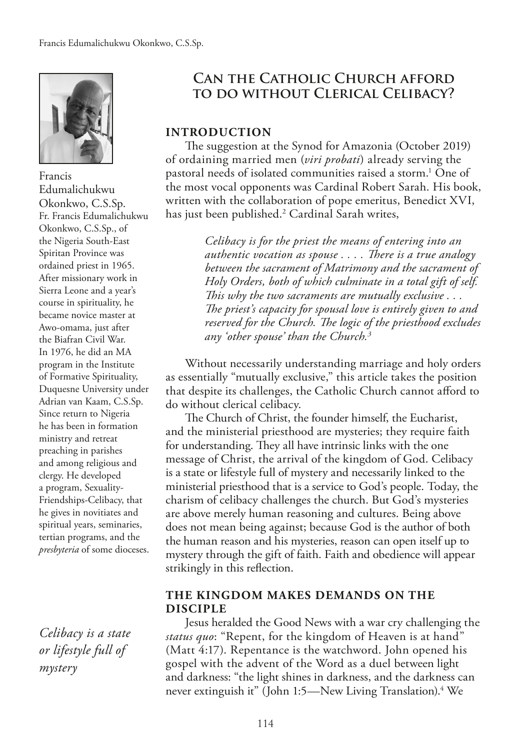

Francis Edumalichukwu Okonkwo, C.S.Sp. Fr. Francis Edumalichukwu Okonkwo, C.S.Sp., of the Nigeria South-East Spiritan Province was ordained priest in 1965. After missionary work in Sierra Leone and a year's course in spirituality, he became novice master at Awo-omama, just after the Biafran Civil War. In 1976, he did an MA program in the Institute of Formative Spirituality, Duquesne University under Adrian van Kaam, C.S.Sp. Since return to Nigeria he has been in formation ministry and retreat preaching in parishes and among religious and clergy. He developed a program, Sexuality-Friendships-Celibacy, that he gives in novitiates and spiritual years, seminaries, tertian programs, and the *presbyteria* of some dioceses.

*Celibacy is a state or lifestyle full of mystery*

# **Can the Catholic Church afford to do without Clerical Celibacy?**

#### **INTRODUCTION**

The suggestion at the Synod for Amazonia (October 2019) of ordaining married men (*viri probati*) already serving the pastoral needs of isolated communities raised a storm.1 One of the most vocal opponents was Cardinal Robert Sarah. His book, written with the collaboration of pope emeritus, Benedict XVI, has just been published.<sup>2</sup> Cardinal Sarah writes,

> *Celibacy is for the priest the means of entering into an authentic vocation as spouse . . . . Tere is a true analogy between the sacrament of Matrimony and the sacrament of Holy Orders, both of which culminate in a total gift of self. This why the two sacraments are mutually exclusive* . . . The priest's capacity for spousal love is entirely given to and reserved for the Church. The logic of the priesthood excludes *any 'other spouse' than the Church.3*

Without necessarily understanding marriage and holy orders as essentially "mutually exclusive," this article takes the position that despite its challenges, the Catholic Church cannot afford to do without clerical celibacy.

The Church of Christ, the founder himself, the Eucharist, and the ministerial priesthood are mysteries; they require faith for understanding. They all have intrinsic links with the one message of Christ, the arrival of the kingdom of God. Celibacy is a state or lifestyle full of mystery and necessarily linked to the ministerial priesthood that is a service to God's people. Today, the charism of celibacy challenges the church. But God's mysteries are above merely human reasoning and cultures. Being above does not mean being against; because God is the author of both the human reason and his mysteries, reason can open itself up to mystery through the gift of faith. Faith and obedience will appear strikingly in this refection.

### **THE KINGDOM MAKES DEMANDS ON THE DISCIPLE**

Jesus heralded the Good News with a war cry challenging the *status quo*: "Repent, for the kingdom of Heaven is at hand" (Matt 4:17). Repentance is the watchword. John opened his gospel with the advent of the Word as a duel between light and darkness: "the light shines in darkness, and the darkness can never extinguish it" (John 1:5—New Living Translation).4 We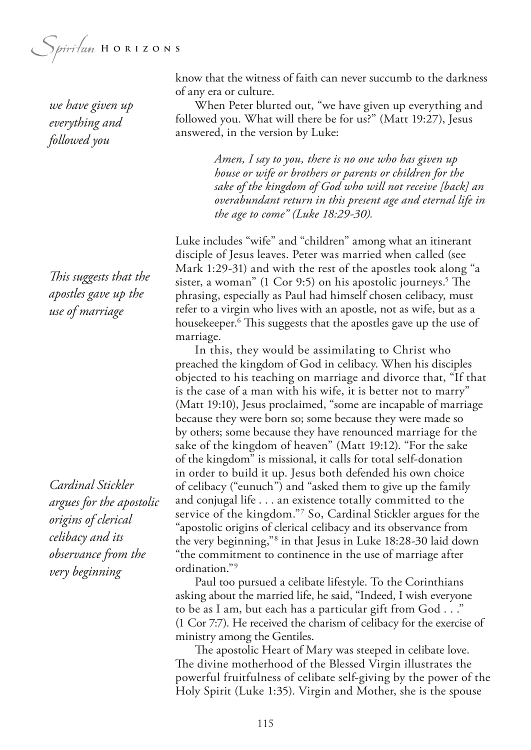Spiritan HORIZONS

*we have given up everything and followed you*

*Tis suggests that the apostles gave up the use of marriage*

*Cardinal Stickler argues for the apostolic origins of clerical celibacy and its observance from the very beginning*

know that the witness of faith can never succumb to the darkness of any era or culture.

When Peter blurted out, "we have given up everything and followed you. What will there be for us?" (Matt 19:27), Jesus answered, in the version by Luke:

> *Amen, I say to you, there is no one who has given up house or wife or brothers or parents or children for the sake of the kingdom of God who will not receive [back] an overabundant return in this present age and eternal life in the age to come" (Luke 18:29-30).*

Luke includes "wife" and "children" among what an itinerant disciple of Jesus leaves. Peter was married when called (see Mark 1:29-31) and with the rest of the apostles took along "a sister, a woman" (1 Cor 9:5) on his apostolic journeys.<sup>5</sup> The phrasing, especially as Paul had himself chosen celibacy, must refer to a virgin who lives with an apostle, not as wife, but as a housekeeper.<sup>6</sup> This suggests that the apostles gave up the use of marriage.

In this, they would be assimilating to Christ who preached the kingdom of God in celibacy. When his disciples objected to his teaching on marriage and divorce that, "If that is the case of a man with his wife, it is better not to marry" (Matt 19:10), Jesus proclaimed, "some are incapable of marriage because they were born so; some because they were made so by others; some because they have renounced marriage for the sake of the kingdom of heaven" (Matt 19:12). "For the sake of the kingdom" is missional, it calls for total self-donation in order to build it up. Jesus both defended his own choice of celibacy ("eunuch") and "asked them to give up the family and conjugal life . . . an existence totally committed to the service of the kingdom."7 So, Cardinal Stickler argues for the "apostolic origins of clerical celibacy and its observance from the very beginning,"8 in that Jesus in Luke 18:28-30 laid down "the commitment to continence in the use of marriage after ordination."9

Paul too pursued a celibate lifestyle. To the Corinthians asking about the married life, he said, "Indeed, I wish everyone to be as I am, but each has a particular gift from God . . ." (1 Cor 7:7). He received the charism of celibacy for the exercise of ministry among the Gentiles.

The apostolic Heart of Mary was steeped in celibate love. The divine motherhood of the Blessed Virgin illustrates the powerful fruitfulness of celibate self-giving by the power of the Holy Spirit (Luke 1:35). Virgin and Mother, she is the spouse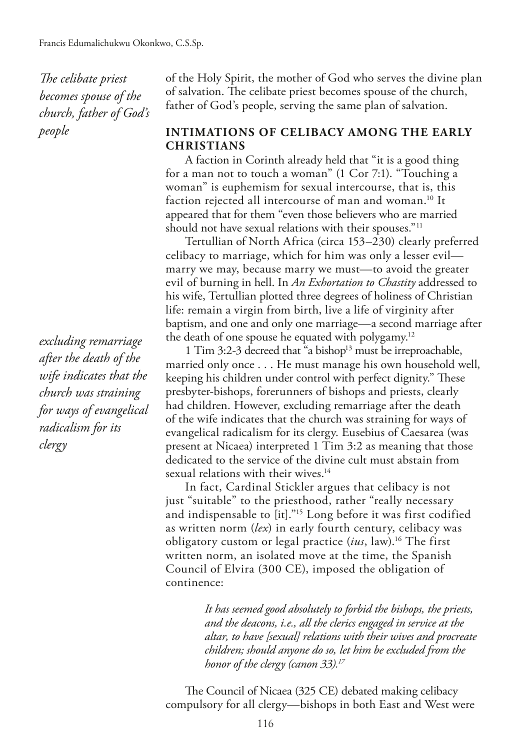*The celibate priest becomes spouse of the church, father of God's people*

*excluding remarriage after the death of the wife indicates that the church was straining for ways of evangelical radicalism for its clergy*

of the Holy Spirit, the mother of God who serves the divine plan of salvation. The celibate priest becomes spouse of the church, father of God's people, serving the same plan of salvation.

### **INTIMATIONS OF CELIBACY AMONG THE EARLY CHRISTIANS**

A faction in Corinth already held that "it is a good thing for a man not to touch a woman" (1 Cor 7:1). "Touching a woman" is euphemism for sexual intercourse, that is, this faction rejected all intercourse of man and woman.<sup>10</sup> It appeared that for them "even those believers who are married should not have sexual relations with their spouses."<sup>11</sup>

Tertullian of North Africa (circa 153–230) clearly preferred celibacy to marriage, which for him was only a lesser evil marry we may, because marry we must—to avoid the greater evil of burning in hell. In *An Exhortation to Chastity* addressed to his wife, Tertullian plotted three degrees of holiness of Christian life: remain a virgin from birth, live a life of virginity after baptism, and one and only one marriage—a second marriage after the death of one spouse he equated with polygamy.<sup>12</sup>

1 Tim 3:2-3 decreed that "a bishop<sup>13</sup> must be irreproachable, married only once . . . He must manage his own household well, keeping his children under control with perfect dignity." These presbyter-bishops, forerunners of bishops and priests, clearly had children. However, excluding remarriage after the death of the wife indicates that the church was straining for ways of evangelical radicalism for its clergy. Eusebius of Caesarea (was present at Nicaea) interpreted 1 Tim 3:2 as meaning that those dedicated to the service of the divine cult must abstain from sexual relations with their wives.<sup>14</sup>

In fact, Cardinal Stickler argues that celibacy is not just "suitable" to the priesthood, rather "really necessary and indispensable to [it]."15 Long before it was first codified as written norm (*lex*) in early fourth century, celibacy was obligatory custom or legal practice (*ius*, law).16 The first written norm, an isolated move at the time, the Spanish Council of Elvira (300 CE), imposed the obligation of continence:

> *It has seemed good absolutely to forbid the bishops, the priests, and the deacons, i.e., all the clerics engaged in service at the altar, to have [sexual] relations with their wives and procreate children; should anyone do so, let him be excluded from the honor of the clergy (canon 33).17*

The Council of Nicaea (325 CE) debated making celibacy compulsory for all clergy—bishops in both East and West were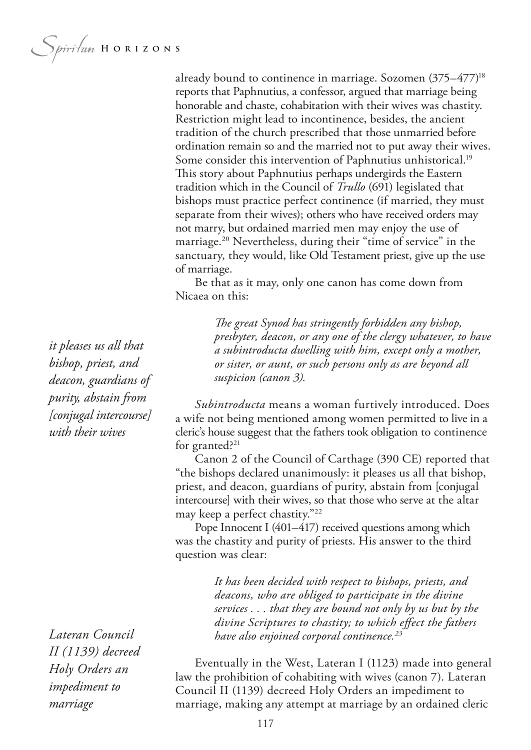already bound to continence in marriage. Sozomen (375–477)18 reports that Paphnutius, a confessor, argued that marriage being honorable and chaste, cohabitation with their wives was chastity. Restriction might lead to incontinence, besides, the ancient tradition of the church prescribed that those unmarried before ordination remain so and the married not to put away their wives. Some consider this intervention of Paphnutius unhistorical.<sup>19</sup> This story about Paphnutius perhaps undergirds the Eastern tradition which in the Council of *Trullo* (691) legislated that bishops must practice perfect continence (if married, they must separate from their wives); others who have received orders may not marry, but ordained married men may enjoy the use of marriage.20 Nevertheless, during their "time of service" in the sanctuary, they would, like Old Testament priest, give up the use of marriage.

Be that as it may, only one canon has come down from Nicaea on this:

> The great Synod has stringently forbidden any bishop, *presbyter, deacon, or any one of the clergy whatever, to have a subintroducta dwelling with him, except only a mother, or sister, or aunt, or such persons only as are beyond all suspicion (canon 3).*

*Subintroducta* means a woman furtively introduced. Does a wife not being mentioned among women permitted to live in a cleric's house suggest that the fathers took obligation to continence for granted? $^{21}$ 

Canon 2 of the Council of Carthage (390 CE) reported that "the bishops declared unanimously: it pleases us all that bishop, priest, and deacon, guardians of purity, abstain from [conjugal intercourse] with their wives, so that those who serve at the altar may keep a perfect chastity."22

Pope Innocent I (401–417) received questions among which was the chastity and purity of priests. His answer to the third question was clear:

> *It has been decided with respect to bishops, priests, and deacons, who are obliged to participate in the divine services . . . that they are bound not only by us but by the divine Scriptures to chastity; to which efect the fathers have also enjoined corporal continence.23*

Eventually in the West, Lateran I (1123) made into general law the prohibition of cohabiting with wives (canon 7). Lateran Council II (1139) decreed Holy Orders an impediment to marriage, making any attempt at marriage by an ordained cleric

*it pleases us all that bishop, priest, and deacon, guardians of purity, abstain from [conjugal intercourse] with their wives*

*Lateran Council II (1139) decreed Holy Orders an impediment to marriage*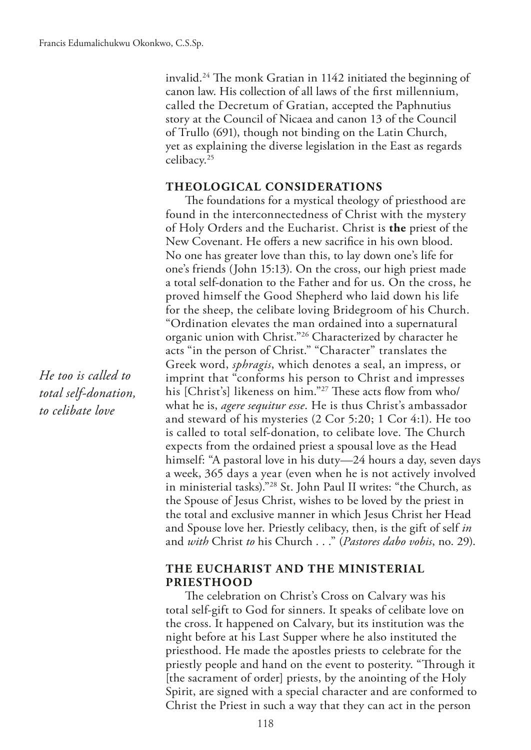invalid.<sup>24</sup> The monk Gratian in 1142 initiated the beginning of canon law. His collection of all laws of the frst millennium, called the Decretum of Gratian, accepted the Paphnutius story at the Council of Nicaea and canon 13 of the Council of Trullo (691), though not binding on the Latin Church, yet as explaining the diverse legislation in the East as regards celibacy.25

#### **THEOLOGICAL CONSIDERATIONS**

The foundations for a mystical theology of priesthood are found in the interconnectedness of Christ with the mystery of Holy Orders and the Eucharist. Christ is **the** priest of the New Covenant. He offers a new sacrifice in his own blood. No one has greater love than this, to lay down one's life for one's friends (John 15:13). On the cross, our high priest made a total self-donation to the Father and for us. On the cross, he proved himself the Good Shepherd who laid down his life for the sheep, the celibate loving Bridegroom of his Church. "Ordination elevates the man ordained into a supernatural organic union with Christ."26 Characterized by character he acts "in the person of Christ." "Character" translates the Greek word, *sphragis*, which denotes a seal, an impress, or imprint that "conforms his person to Christ and impresses his [Christ's] likeness on him."<sup>27</sup> These acts flow from who/ what he is, *agere sequitur esse*. He is thus Christ's ambassador and steward of his mysteries (2 Cor 5:20; 1 Cor 4:1). He too is called to total self-donation, to celibate love. The Church expects from the ordained priest a spousal love as the Head himself: "A pastoral love in his duty—24 hours a day, seven days a week, 365 days a year (even when he is not actively involved in ministerial tasks)."28 St. John Paul II writes: "the Church, as the Spouse of Jesus Christ, wishes to be loved by the priest in the total and exclusive manner in which Jesus Christ her Head and Spouse love her. Priestly celibacy, then, is the gift of self *in* and *with* Christ *to* his Church . . ." (*Pastores dabo vobis*, no. 29).

### **THE EUCHARIST AND THE MINISTERIAL PRIESTHOOD**

The celebration on Christ's Cross on Calvary was his total self-gift to God for sinners. It speaks of celibate love on the cross. It happened on Calvary, but its institution was the night before at his Last Supper where he also instituted the priesthood. He made the apostles priests to celebrate for the priestly people and hand on the event to posterity. "Through it [the sacrament of order] priests, by the anointing of the Holy Spirit, are signed with a special character and are conformed to Christ the Priest in such a way that they can act in the person

*He too is called to total self-donation, to celibate love*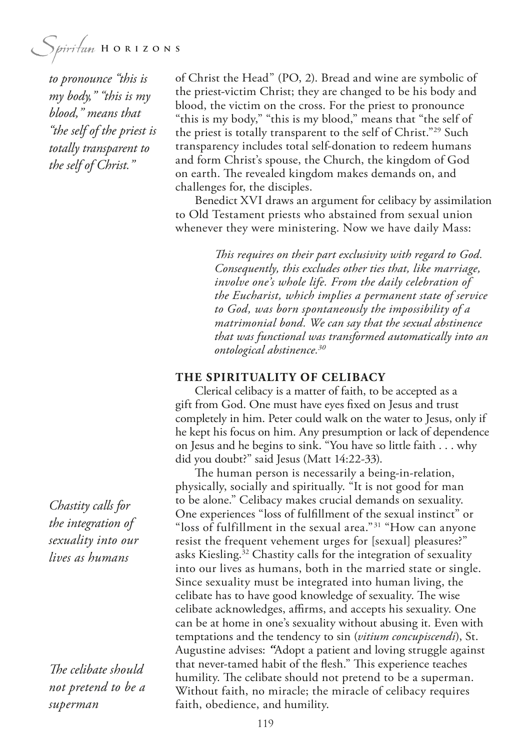*to pronounce "this is my body," "this is my blood," means that "the self of the priest is totally transparent to the self of Christ."*

*Chastity calls for the integration of sexuality into our lives as humans*

*The celibate should not pretend to be a superman*

of Christ the Head" (PO, 2). Bread and wine are symbolic of the priest-victim Christ; they are changed to be his body and blood, the victim on the cross. For the priest to pronounce "this is my body," "this is my blood," means that "the self of the priest is totally transparent to the self of Christ."29 Such transparency includes total self-donation to redeem humans and form Christ's spouse, the Church, the kingdom of God on earth. The revealed kingdom makes demands on, and challenges for, the disciples.

Benedict XVI draws an argument for celibacy by assimilation to Old Testament priests who abstained from sexual union whenever they were ministering. Now we have daily Mass:

> *Tis requires on their part exclusivity with regard to God. Consequently, this excludes other ties that, like marriage, involve one's whole life. From the daily celebration of the Eucharist, which implies a permanent state of service to God, was born spontaneously the impossibility of a matrimonial bond. We can say that the sexual abstinence that was functional was transformed automatically into an ontological abstinence.30*

#### **THE SPIRITUALITY OF CELIBACY**

Clerical celibacy is a matter of faith, to be accepted as a gift from God. One must have eyes fxed on Jesus and trust completely in him. Peter could walk on the water to Jesus, only if he kept his focus on him. Any presumption or lack of dependence on Jesus and he begins to sink. "You have so little faith . . . why did you doubt?" said Jesus (Matt 14:22-33).

The human person is necessarily a being-in-relation, physically, socially and spiritually. "It is not good for man to be alone." Celibacy makes crucial demands on sexuality. One experiences "loss of fulfllment of the sexual instinct" or "loss of fulfillment in the sexual area."31 "How can anyone resist the frequent vehement urges for [sexual] pleasures?" asks Kiesling.<sup>32</sup> Chastity calls for the integration of sexuality into our lives as humans, both in the married state or single. Since sexuality must be integrated into human living, the celibate has to have good knowledge of sexuality. The wise celibate acknowledges, affirms, and accepts his sexuality. One can be at home in one's sexuality without abusing it. Even with temptations and the tendency to sin (*vitium concupiscendi*), St. Augustine advises: *"*Adopt a patient and loving struggle against that never-tamed habit of the flesh." This experience teaches humility. The celibate should not pretend to be a superman. Without faith, no miracle; the miracle of celibacy requires faith, obedience, and humility.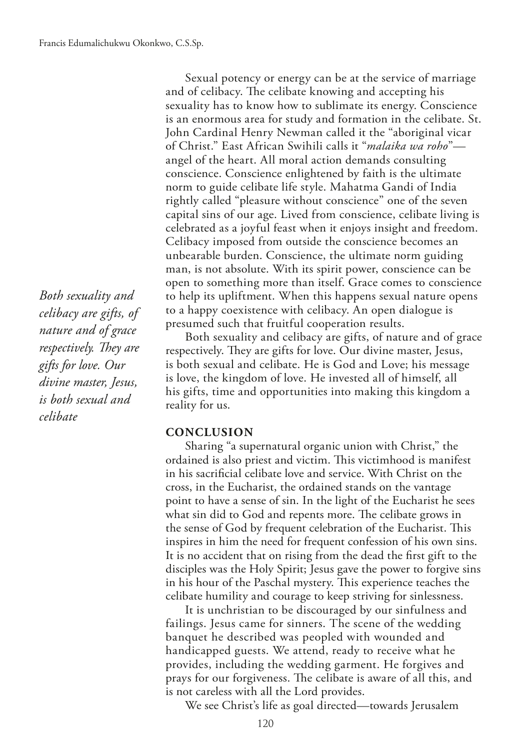*Both sexuality and celibacy are gifts, of nature and of grace respectively. They are gifts for love. Our divine master, Jesus, is both sexual and celibate*

Sexual potency or energy can be at the service of marriage and of celibacy. The celibate knowing and accepting his sexuality has to know how to sublimate its energy. Conscience is an enormous area for study and formation in the celibate. St. John Cardinal Henry Newman called it the "aboriginal vicar of Christ." East African Swihili calls it "*malaika wa roho*" angel of the heart. All moral action demands consulting conscience. Conscience enlightened by faith is the ultimate norm to guide celibate life style. Mahatma Gandi of India rightly called "pleasure without conscience" one of the seven capital sins of our age. Lived from conscience, celibate living is celebrated as a joyful feast when it enjoys insight and freedom. Celibacy imposed from outside the conscience becomes an unbearable burden. Conscience, the ultimate norm guiding man, is not absolute. With its spirit power, conscience can be open to something more than itself. Grace comes to conscience to help its upliftment. When this happens sexual nature opens to a happy coexistence with celibacy. An open dialogue is presumed such that fruitful cooperation results.

Both sexuality and celibacy are gifts, of nature and of grace respectively. They are gifts for love. Our divine master, Jesus, is both sexual and celibate. He is God and Love; his message is love, the kingdom of love. He invested all of himself, all his gifts, time and opportunities into making this kingdom a reality for us.

#### **CONCLUSION**

Sharing "a supernatural organic union with Christ," the ordained is also priest and victim. This victimhood is manifest in his sacrifcial celibate love and service. With Christ on the cross, in the Eucharist, the ordained stands on the vantage point to have a sense of sin. In the light of the Eucharist he sees what sin did to God and repents more. The celibate grows in the sense of God by frequent celebration of the Eucharist. This inspires in him the need for frequent confession of his own sins. It is no accident that on rising from the dead the frst gift to the disciples was the Holy Spirit; Jesus gave the power to forgive sins in his hour of the Paschal mystery. This experience teaches the celibate humility and courage to keep striving for sinlessness.

It is unchristian to be discouraged by our sinfulness and failings. Jesus came for sinners. The scene of the wedding banquet he described was peopled with wounded and handicapped guests. We attend, ready to receive what he provides, including the wedding garment. He forgives and prays for our forgiveness. The celibate is aware of all this, and is not careless with all the Lord provides.

We see Christ's life as goal directed—towards Jerusalem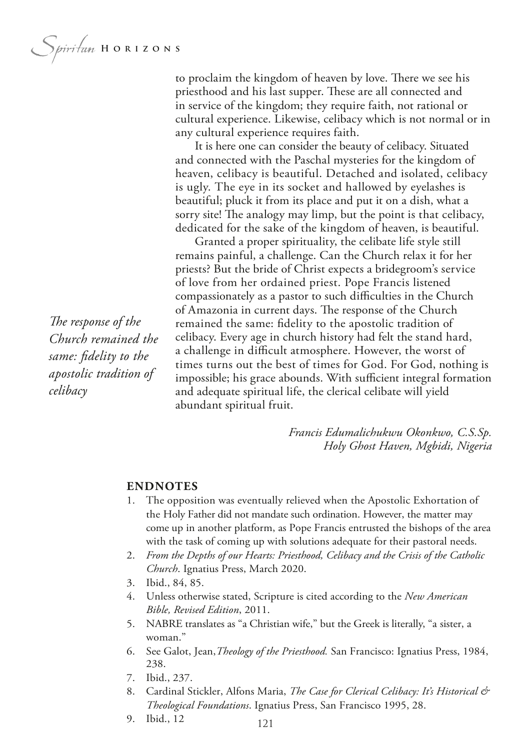to proclaim the kingdom of heaven by love. There we see his priesthood and his last supper. These are all connected and in service of the kingdom; they require faith, not rational or cultural experience. Likewise, celibacy which is not normal or in any cultural experience requires faith.

It is here one can consider the beauty of celibacy. Situated and connected with the Paschal mysteries for the kingdom of heaven, celibacy is beautiful. Detached and isolated, celibacy is ugly. The eye in its socket and hallowed by eyelashes is beautiful; pluck it from its place and put it on a dish, what a sorry site! The analogy may limp, but the point is that celibacy, dedicated for the sake of the kingdom of heaven, is beautiful.

Granted a proper spirituality, the celibate life style still remains painful, a challenge. Can the Church relax it for her priests? But the bride of Christ expects a bridegroom's service of love from her ordained priest. Pope Francis listened compassionately as a pastor to such difficulties in the Church of Amazonia in current days. The response of the Church remained the same: fdelity to the apostolic tradition of celibacy. Every age in church history had felt the stand hard, a challenge in difficult atmosphere. However, the worst of times turns out the best of times for God. For God, nothing is impossible; his grace abounds. With sufficient integral formation and adequate spiritual life, the clerical celibate will yield abundant spiritual fruit.

> *Francis Edumalichukwu Okonkwo, C.S.Sp. Holy Ghost Haven, Mgbidi, Nigeria*

#### **ENDNOTES**

- 1. The opposition was eventually relieved when the Apostolic Exhortation of the Holy Father did not mandate such ordination. However, the matter may come up in another platform, as Pope Francis entrusted the bishops of the area with the task of coming up with solutions adequate for their pastoral needs.
- 2. *From the Depths of our Hearts: Priesthood, Celibacy and the Crisis of the Catholic Church*. Ignatius Press, March 2020.
- 3. Ibid., 84, 85.
- 4. Unless otherwise stated, Scripture is cited according to the *New American Bible, Revised Edition*, 2011.
- 5. NABRE translates as "a Christian wife," but the Greek is literally, "a sister, a woman."
- 6. See Galot, Jean,*Theology of the Priesthood.* San Francisco: Ignatius Press, 1984, 238.
- 7. Ibid., 237.
- 8. Cardinal Stickler, Alfons Maria, *The Case for Clerical Celibacy: It's Historical & Theological Foundations*. Ignatius Press, San Francisco 1995, 28.
- 9. Ibid., 12

The response of the *Church remained the same: fdelity to the apostolic tradition of celibacy*